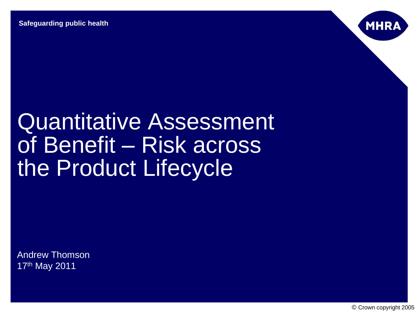

## Quantitative Assessment of Benefit – Risk across the Product Lifecycle

Andrew Thomson 17th May 2011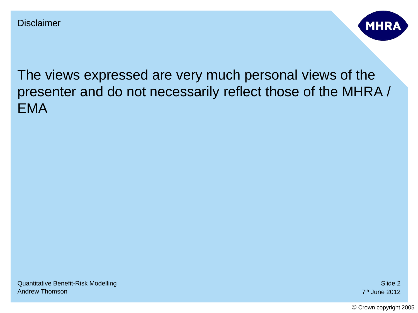

The views expressed are very much personal views of the presenter and do not necessarily reflect those of the MHRA / EMA

Slide 2 7<sup>th</sup> June 2012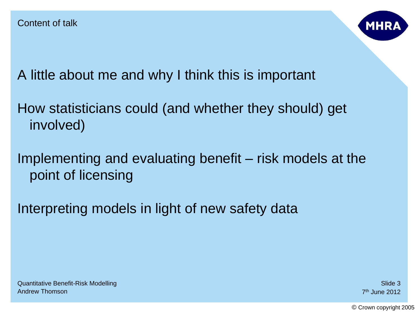

A little about me and why I think this is important

How statisticians could (and whether they should) get involved)

Implementing and evaluating benefit – risk models at the point of licensing

Interpreting models in light of new safety data

Slide 3 7<sup>th</sup> June 2012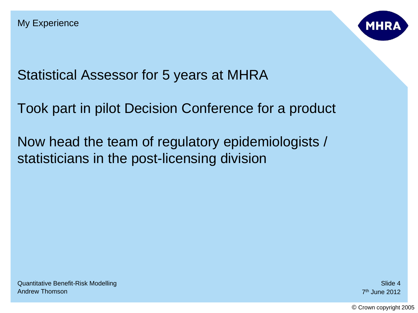

Statistical Assessor for 5 years at MHRA

Took part in pilot Decision Conference for a product

Now head the team of regulatory epidemiologists / statisticians in the post-licensing division

Slide 4 7<sup>th</sup> June 2012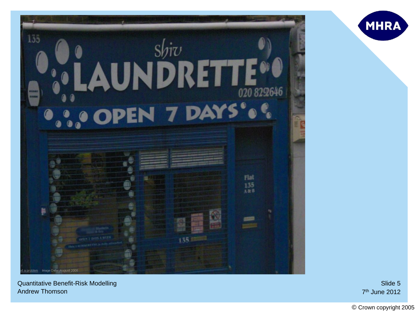

Andrew Thomson  $7^{\rm th}$  June 2012 Quantitative Benefit -Risk Modelling

Slide 5 7<sup>th</sup> June 2012

**MHRA**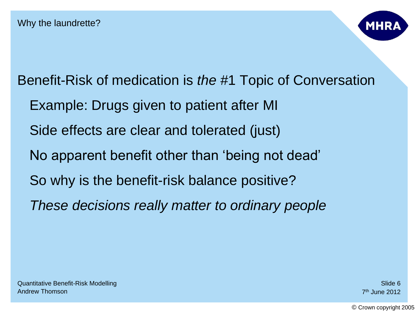

Benefit-Risk of medication is *the* #1 Topic of Conversation Example: Drugs given to patient after MI Side effects are clear and tolerated (just) No apparent benefit other than 'being not dead' So why is the benefit-risk balance positive? *These decisions really matter to ordinary people*

Slide 6 7<sup>th</sup> June 2012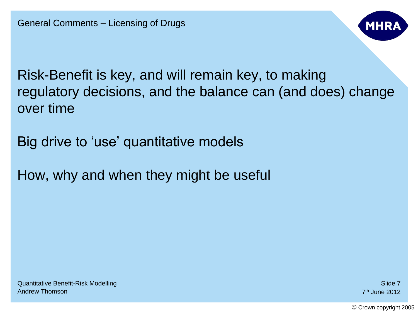

Risk-Benefit is key, and will remain key, to making regulatory decisions, and the balance can (and does) change over time

Big drive to 'use' quantitative models

How, why and when they might be useful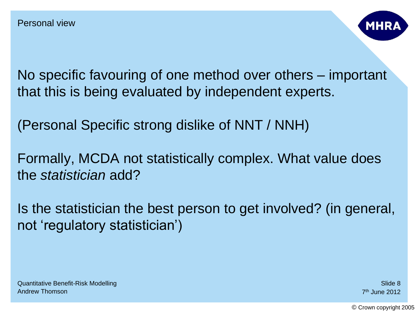

No specific favouring of one method over others – important that this is being evaluated by independent experts.

(Personal Specific strong dislike of NNT / NNH)

Formally, MCDA not statistically complex. What value does the *statistician* add?

Is the statistician the best person to get involved? (in general, not 'regulatory statistician')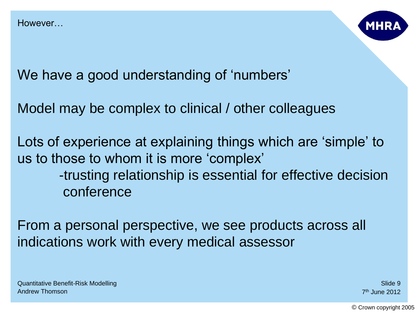

We have a good understanding of 'numbers'

Model may be complex to clinical / other colleagues

Lots of experience at explaining things which are 'simple' to us to those to whom it is more 'complex' -trusting relationship is essential for effective decision conference

From a personal perspective, we see products across all indications work with every medical assessor

Slide 9 7<sup>th</sup> June 2012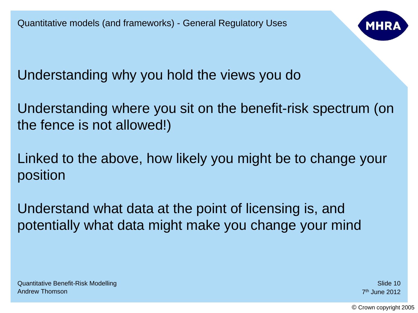

Understanding why you hold the views you do

Understanding where you sit on the benefit-risk spectrum (on the fence is not allowed!)

Linked to the above, how likely you might be to change your position

Understand what data at the point of licensing is, and potentially what data might make you change your mind

Slide 10 7<sup>th</sup> June 2012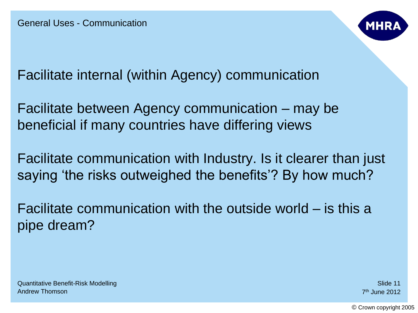

Facilitate internal (within Agency) communication

Facilitate between Agency communication – may be beneficial if many countries have differing views

Facilitate communication with Industry. Is it clearer than just saying 'the risks outweighed the benefits'? By how much?

Facilitate communication with the outside world – is this a pipe dream?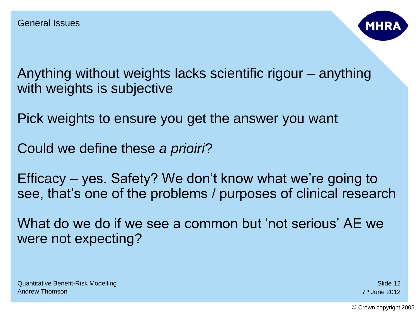

Anything without weights lacks scientific rigour – anything with weights is subjective

Pick weights to ensure you get the answer you want

Could we define these *a prioiri*?

Efficacy – yes. Safety? We don't know what we're going to see, that's one of the problems / purposes of clinical research

What do we do if we see a common but 'not serious' AE we were not expecting?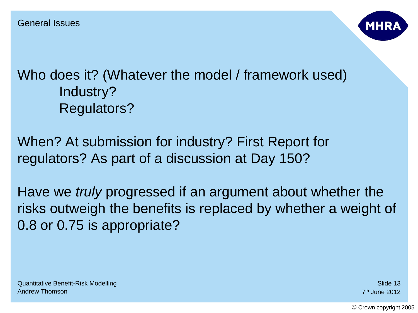

Who does it? (Whatever the model / framework used) Industry? Regulators?

When? At submission for industry? First Report for regulators? As part of a discussion at Day 150?

Have we *truly* progressed if an argument about whether the risks outweigh the benefits is replaced by whether a weight of 0.8 or 0.75 is appropriate?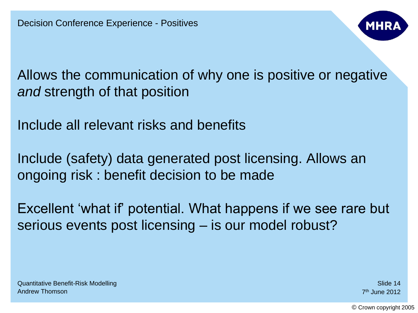

Allows the communication of why one is positive or negative *and* strength of that position

Include all relevant risks and benefits

Include (safety) data generated post licensing. Allows an ongoing risk : benefit decision to be made

Excellent 'what if' potential. What happens if we see rare but serious events post licensing – is our model robust?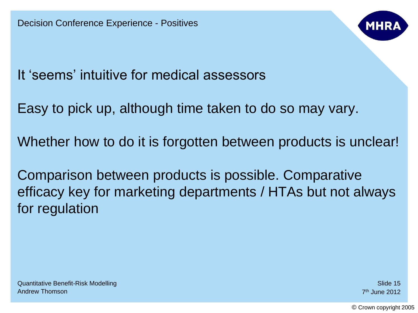

It 'seems' intuitive for medical assessors

Easy to pick up, although time taken to do so may vary.

Whether how to do it is forgotten between products is unclear!

Comparison between products is possible. Comparative efficacy key for marketing departments / HTAs but not always for regulation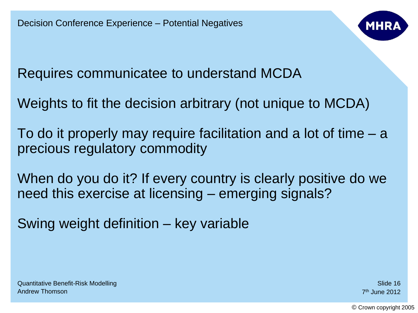

Requires communicatee to understand MCDA

Weights to fit the decision arbitrary (not unique to MCDA)

To do it properly may require facilitation and a lot of time – a precious regulatory commodity

When do you do it? If every country is clearly positive do we need this exercise at licensing – emerging signals?

Swing weight definition – key variable

Slide 16 7<sup>th</sup> June 2012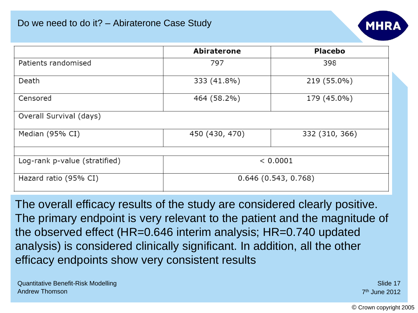

|                               | Abiraterone         | Placebo        |  |  |
|-------------------------------|---------------------|----------------|--|--|
| Patients randomised           | 797                 | 398            |  |  |
| Death                         | 333 (41.8%)         | 219 (55.0%)    |  |  |
| Censored                      | 464 (58.2%)         | 179 (45.0%)    |  |  |
| Overall Survival (days)       |                     |                |  |  |
| Median (95% CI)               | 450 (430, 470)      | 332 (310, 366) |  |  |
| Log-rank p-value (stratified) | < 0.0001            |                |  |  |
| Hazard ratio (95% CI)         | 0.646(0.543, 0.768) |                |  |  |

The overall efficacy results of the study are considered clearly positive. The primary endpoint is very relevant to the patient and the magnitude of the observed effect (HR=0.646 interim analysis; HR=0.740 updated analysis) is considered clinically significant. In addition, all the other efficacy endpoints show very consistent results

Slide 17 7<sup>th</sup> June 2012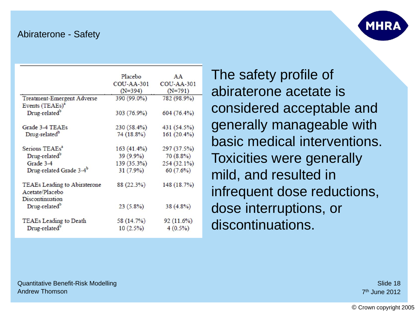## Abiraterone - Safety



|                                     | Placebo           | AA           |
|-------------------------------------|-------------------|--------------|
|                                     |                   |              |
|                                     | <b>COU-AA-301</b> | $COU-AA-301$ |
|                                     | $(N=394)$         | $(N=791)$    |
| <b>Treatment-Emergent Adverse</b>   | 390 (99.0%)       | 782 (98.9%)  |
| Events (TEAEs) <sup>a</sup>         |                   |              |
| Drug-related <sup>b</sup>           | 303 (76.9%)       | 604 (76.4%)  |
|                                     |                   |              |
| Grade 3-4 TEAEs                     | 230 (58.4%)       | 431 (54.5%)  |
| Drug-related <sup>b</sup>           | $74(18.8\%)$      | 161 (20.4%)  |
|                                     |                   |              |
| Serious TEAEs <sup>a</sup>          | 163(41.4%)        | 297 (37.5%)  |
| Drug-related <sup>b</sup>           | $39(9.9\%)$       | 70 (8.8%)    |
| Grade 3-4                           | 139 (35.3%)       | 254 (32.1%)  |
| Drug-related Grade 3-4 <sup>b</sup> | 31(7.9%)          | 60(7.6%)     |
| <b>TEAEs Leading to Abiraterone</b> | 88 (22.3%)        | 148 (18.7%)  |
| Acetate/Placebo                     |                   |              |
| <b>Discontinuation</b>              |                   |              |
| Drug-related <sup>b</sup>           | $23(5.8\%)$       | $38(4.8\%)$  |
|                                     |                   |              |
| TEAEs Leading to Death              | 58 (14.7%)        | 92(11.6%)    |
| Drug-related <sup>o</sup>           | 10(2.5%)          | $4(0.5\%)$   |
|                                     |                   |              |

The safety profile of abiraterone acetate is considered acceptable and generally manageable with basic medical interventions. Toxicities were generally mild, and resulted in infrequent dose reductions, dose interruptions, or discontinuations.

> Slide 18 7<sup>th</sup> June 2012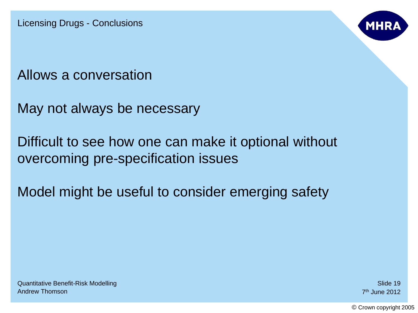

Allows a conversation

May not always be necessary

Difficult to see how one can make it optional without overcoming pre-specification issues

Model might be useful to consider emerging safety

Slide 19 7<sup>th</sup> June 2012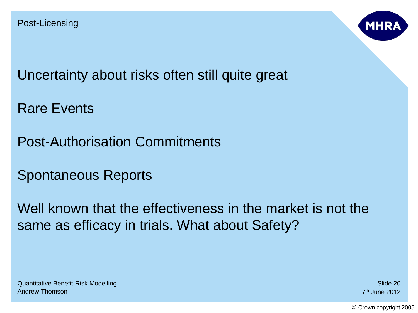

Uncertainty about risks often still quite great

Rare Events

Post-Authorisation Commitments

Spontaneous Reports

Well known that the effectiveness in the market is not the same as efficacy in trials. What about Safety?

Andrew Thomson  $7^{\rm th}$  June 2012 Quantitative Benefit-Risk Modelling

Slide 20 7<sup>th</sup> June 2012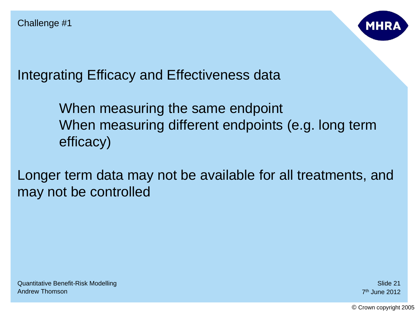

Integrating Efficacy and Effectiveness data

When measuring the same endpoint When measuring different endpoints (e.g. long term efficacy)

Longer term data may not be available for all treatments, and may not be controlled

Slide 21 7<sup>th</sup> June 2012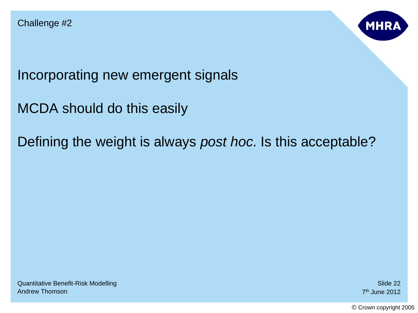

Incorporating new emergent signals

MCDA should do this easily

Defining the weight is always *post hoc*. Is this acceptable?

Slide 22 7<sup>th</sup> June 2012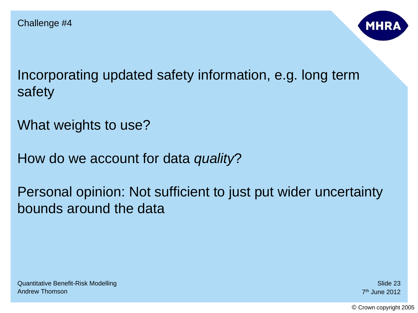

Incorporating updated safety information, e.g. long term safety

What weights to use?

How do we account for data *quality*?

Personal opinion: Not sufficient to just put wider uncertainty bounds around the data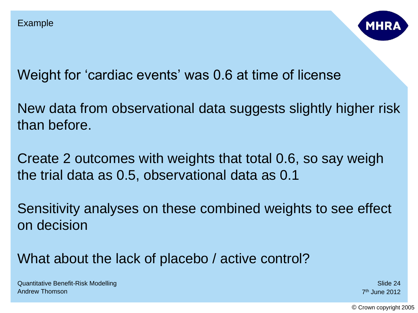

Weight for 'cardiac events' was 0.6 at time of license

New data from observational data suggests slightly higher risk than before.

Create 2 outcomes with weights that total 0.6, so say weigh the trial data as 0.5, observational data as 0.1

Sensitivity analyses on these combined weights to see effect on decision

What about the lack of placebo / active control?

Slide 24 7<sup>th</sup> June 2012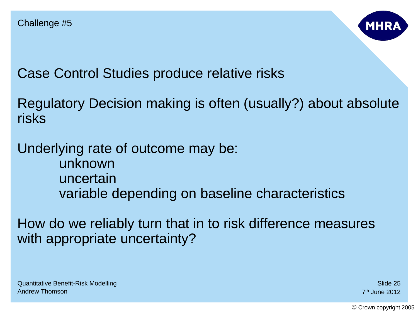

Case Control Studies produce relative risks

Regulatory Decision making is often (usually?) about absolute risks

Underlying rate of outcome may be: unknown uncertain variable depending on baseline characteristics

How do we reliably turn that in to risk difference measures with appropriate uncertainty?

Andrew Thomson  $7^{\rm th}$  June 2012 Quantitative Benefit-Risk Modelling

Slide 25 7<sup>th</sup> June 2012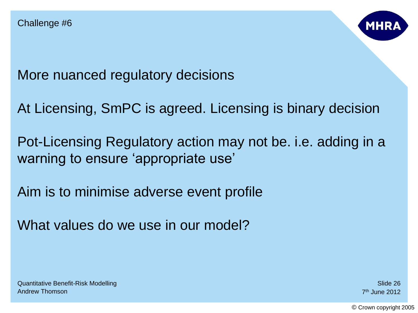

More nuanced regulatory decisions

At Licensing, SmPC is agreed. Licensing is binary decision

Pot-Licensing Regulatory action may not be. i.e. adding in a warning to ensure 'appropriate use'

Aim is to minimise adverse event profile

What values do we use in our model?

Slide 26 7<sup>th</sup> June 2012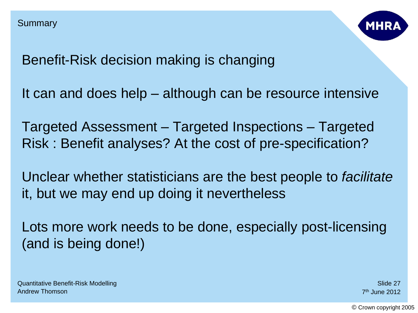

Benefit-Risk decision making is changing

It can and does help – although can be resource intensive

Targeted Assessment – Targeted Inspections – Targeted Risk : Benefit analyses? At the cost of pre-specification?

Unclear whether statisticians are the best people to *facilitate* it, but we may end up doing it nevertheless

Lots more work needs to be done, especially post-licensing (and is being done!)

Slide 27 7<sup>th</sup> June 2012